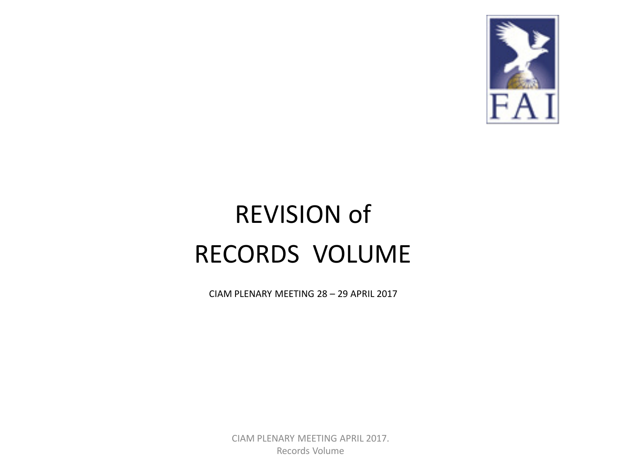

### REVISION of RECORDS VOLUME

CIAM PLENARY MEETING 28 – 29 APRIL 2017

CIAM PLENARY MEETING APRIL 2017. Records Volume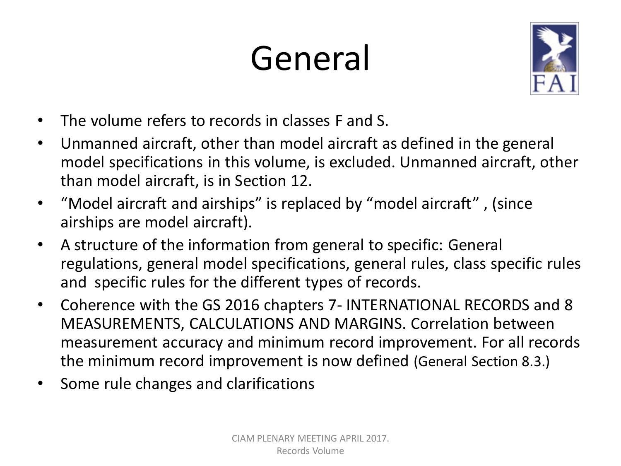# General



- The volume refers to records in classes F and S.
- Unmanned aircraft, other than model aircraft as defined in the general model specifications in this volume, is excluded. Unmanned aircraft, other than model aircraft, is in Section 12.
- "Model aircraft and airships" is replaced by "model aircraft" , (since airships are model aircraft).
- A structure of the information from general to specific: General regulations, general model specifications, general rules, class specific rules and specific rules for the different types of records.
- Coherence with the GS 2016 chapters 7- INTERNATIONAL RECORDS and 8 MEASUREMENTS, CALCULATIONS AND MARGINS. Correlation between measurement accuracy and minimum record improvement. For all records the minimum record improvement is now defined (General Section 8.3.)
- Some rule changes and clarifications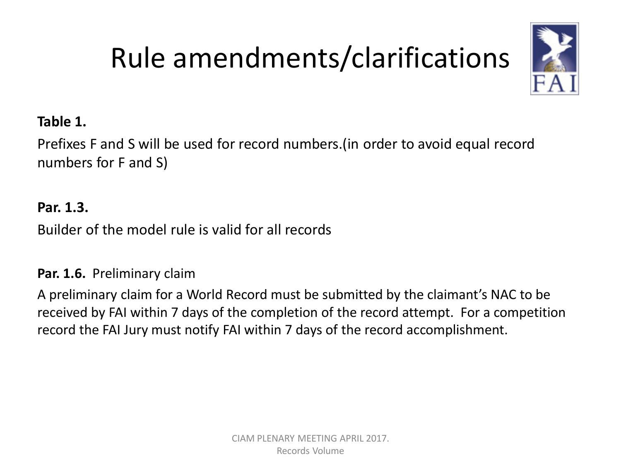

#### **Table 1.**

Prefixes F and S will be used for record numbers.(in order to avoid equal record numbers for F and S)

#### **Par. 1.3.**

Builder of the model rule is valid for all records

#### **Par. 1.6.** Preliminary claim

A preliminary claim for a World Record must be submitted by the claimant's NAC to be received by FAI within 7 days of the completion of the record attempt. For a competition record the FAI Jury must notify FAI within 7 days of the record accomplishment.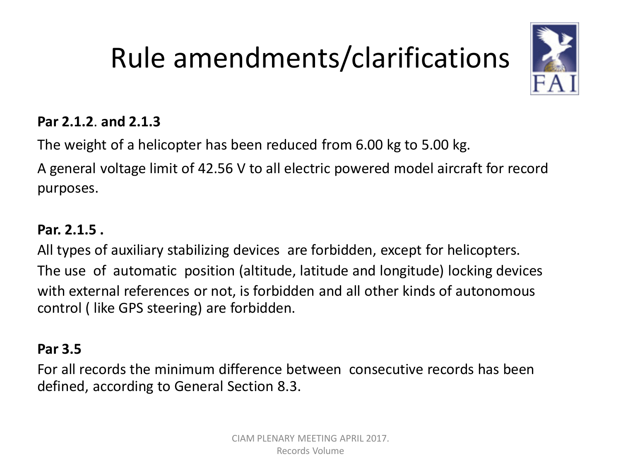

#### **Par 2.1.2**. **and 2.1.3**

The weight of a helicopter has been reduced from 6.00 kg to 5.00 kg.

A general voltage limit of 42.56 V to all electric powered model aircraft for record purposes.

#### **Par. 2.1.5 .**

All types of auxiliary stabilizing devices are forbidden, except for helicopters. The use of automatic position (altitude, latitude and longitude) locking devices with external references or not, is forbidden and all other kinds of autonomous control ( like GPS steering) are forbidden.

#### **Par 3.5**

For all records the minimum difference between consecutive records has been defined, according to General Section 8.3.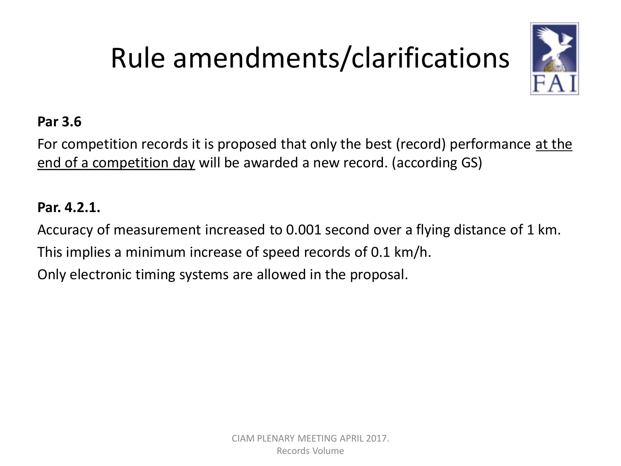

#### **Par 3.6**

For competition records it is proposed that only the best (record) performance at the end of a competition day will be awarded a new record. (according GS)

#### **Par. 4.2.1.**

Accuracy of measurement increased to 0.001 second over a flying distance of 1 km. This implies a minimum increase of speed records of 0.1 km/h. Only electronic timing systems are allowed in the proposal.